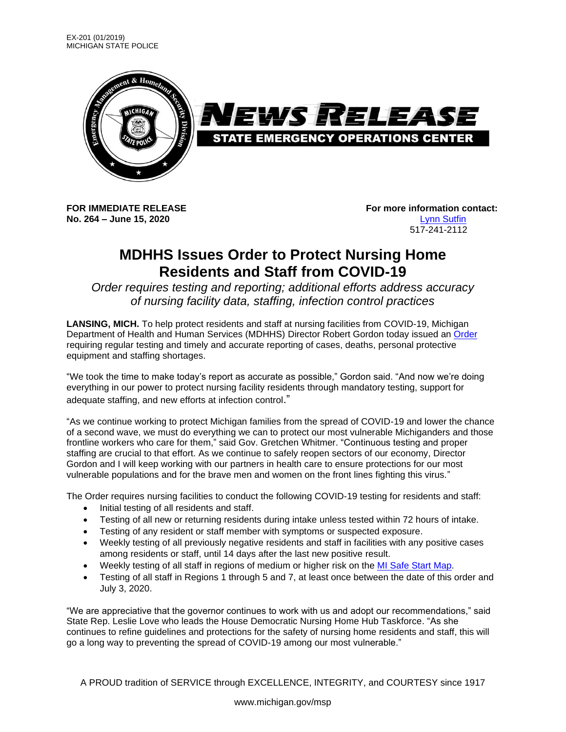

**No. 264 – June 15, 2020** [Lynn Sutfin](mailto:sutfinl1@michigan.gov)

**FOR IMMEDIATE RELEASE For more information contact:** 517-241-2112

## **MDHHS Issues Order to Protect Nursing Home Residents and Staff from COVID-19**

*Order requires testing and reporting; additional efforts address accuracy of nursing facility data, staffing, infection control practices*

**LANSING, MICH.** To help protect residents and staff at nursing facilities from COVID-19, Michigan Department of Health and Human Services (MDHHS) Director Robert Gordon today issued an [Order](https://www.michigan.gov/documents/coronavirus/MDHHS_Epidemic_Order_-_NF_Final_6_15_20_693837_7.pdf) requiring regular testing and timely and accurate reporting of cases, deaths, personal protective equipment and staffing shortages.

"We took the time to make today's report as accurate as possible," Gordon said. "And now we're doing everything in our power to protect nursing facility residents through mandatory testing, support for adequate staffing, and new efforts at infection control."

"As we continue working to protect Michigan families from the spread of COVID-19 and lower the chance of a second wave, we must do everything we can to protect our most vulnerable Michiganders and those frontline workers who care for them," said Gov. Gretchen Whitmer. "Continuous testing and proper staffing are crucial to that effort. As we continue to safely reopen sectors of our economy, Director Gordon and I will keep working with our partners in health care to ensure protections for our most vulnerable populations and for the brave men and women on the front lines fighting this virus."

The Order requires nursing facilities to conduct the following COVID-19 testing for residents and staff:

- Initial testing of all residents and staff.
- Testing of all new or returning residents during intake unless tested within 72 hours of intake.
- Testing of any resident or staff member with symptoms or suspected exposure.
- Weekly testing of all previously negative residents and staff in facilities with any positive cases among residents or staff, until 14 days after the last new positive result.
- Weekly testing of all staff in regions of medium or higher risk on the [MI Safe Start Map.](https://www.mistartmap.info/)
- Testing of all staff in Regions 1 through 5 and 7, at least once between the date of this order and July 3, 2020.

"We are appreciative that the governor continues to work with us and adopt our recommendations," said State Rep. Leslie Love who leads the House Democratic Nursing Home Hub Taskforce. "As she continues to refine guidelines and protections for the safety of nursing home residents and staff, this will go a long way to preventing the spread of COVID-19 among our most vulnerable."

A PROUD tradition of SERVICE through EXCELLENCE, INTEGRITY, and COURTESY since 1917

www.michigan.gov/msp